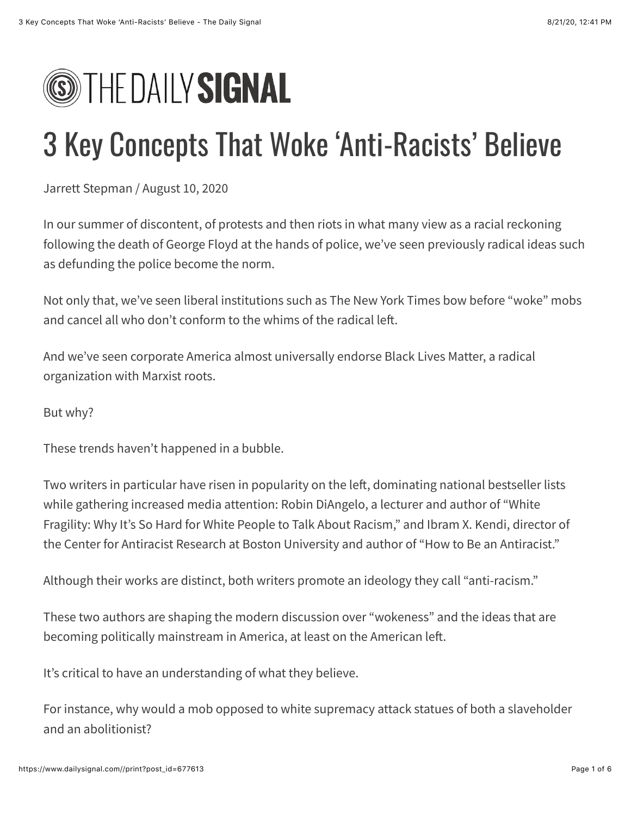# **SEPTHE DAILY SIGNAL**

# 3 Key Concepts That Woke 'Anti-Racists' Believe

Jarrett Stepman / August 10, 2020

In our summer of discontent, of protests and then riots in what many view as a racial reckoning following the death of George Floyd at the hands of police, we've seen previously radical ideas such as defunding the police become the norm.

Not only that, we've seen liberal institutions such as The New York Times bow before "woke" mobs and cancel all who don't conform to the whims of the radical left.

And we've seen corporate America almost universally endorse Black Lives Matter, a radical organization with Marxist roots.

But why?

These trends haven't happened in a bubble.

Two writers in particular have risen in popularity on the left, dominating national bestseller lists [while gathering increased media attention: Robin DiAngelo, a lecturer and author of "White](https://www.amazon.com/White-Fragility-People-About-Racism/dp/0807047414) Fragility: Why It's So Hard for White People to Talk About Racism," and Ibram X. Kendi, director of the Center for Antiracist Research at Boston University and author of ["How to Be an Antiracist.](https://www.amazon.com/How-Be-Antiracist-Ibram-Kendi/dp/0525509283)"

Although their works are distinct, both writers promote an ideology they call "anti-racism."

These two authors are shaping the modern discussion over "wokeness" and the ideas that are becoming politically mainstream in America, at least on the American left.

It's critical to have an understanding of what they believe.

For instance, why would a mob opposed to white supremacy attack statues of both a slaveholder and an abolitionist?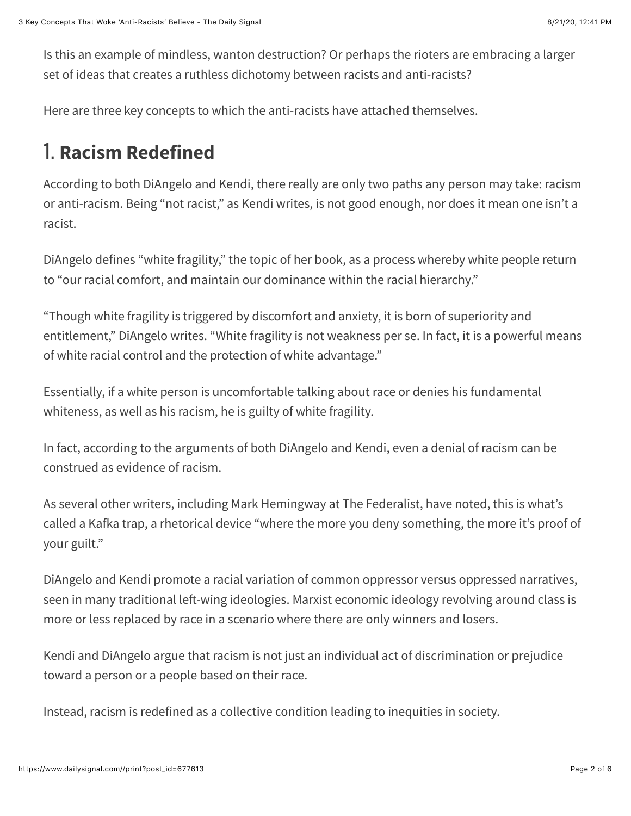Is this an example of mindless, wanton destruction? Or perhaps the rioters are embracing a larger set of ideas that creates a ruthless dichotomy between racists and anti-racists?

Here are three key concepts to which the anti-racists have attached themselves.

## 1. **Racism Redefined**

According to both DiAngelo and Kendi, there really are only two paths any person may take: racism or anti-racism. Being "not racist," as Kendi writes, is not good enough, nor does it mean one isn't a racist.

DiAngelo defines "white fragility," the topic of her book, as a process whereby white people return to "our racial comfort, and maintain our dominance within the racial hierarchy."

"Though white fragility is triggered by discomfort and anxiety, it is born of superiority and entitlement," DiAngelo writes. "White fragility is not weakness per se. In fact, it is a powerful means of white racial control and the protection of white advantage."

Essentially, if a white person is uncomfortable talking about race or denies his fundamental whiteness, as well as his racism, he is guilty of white fragility.

In fact, according to the arguments of both DiAngelo and Kendi, even a denial of racism can be construed as evidence of racism.

As several other writers[, including Mark Hemingway at The Federalist,](https://thefederalist.com/2020/07/15/what-to-read-instead-of-white-fragility/) have noted, this is what's called a Kafka trap, a rhetorical device "where the more you deny something, the more it's proof of your guilt."

[DiAngelo and Kendi promote a racial variation of common oppressor versus oppressed narratives,](https://www.dailysignal.com/2020/08/02/how-wokeness-is-a-product-of-marxism/) seen in many traditional left-wing ideologies. Marxist economic ideology revolving around class is more or less replaced by race in a scenario where there are only winners and losers.

Kendi and DiAngelo argue that racism is not just an individual act of discrimination or prejudice toward a person or a people based on their race.

Instead, racism is redefined as a collective condition leading to inequities in society.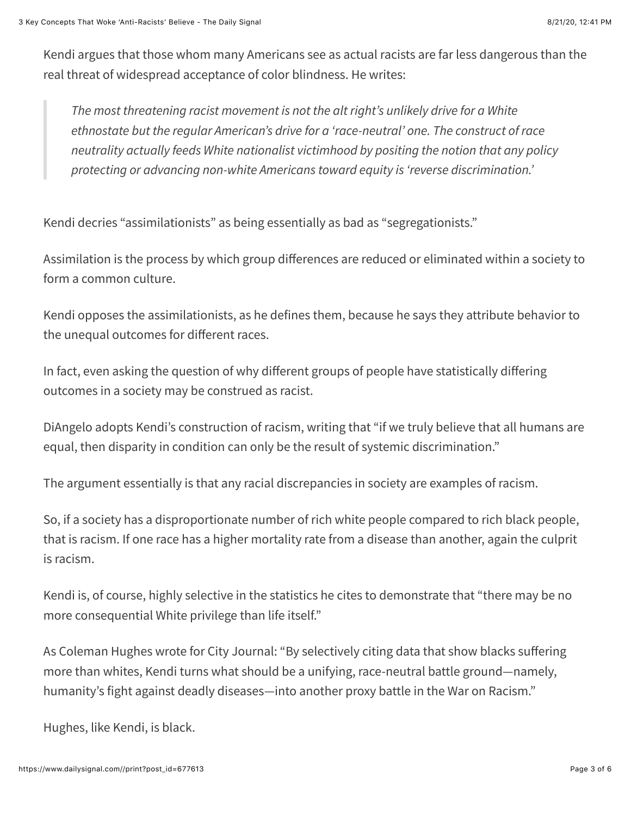Kendi argues that those whom many Americans see as actual racists are far less dangerous than the real threat of widespread acceptance of color blindness. He writes:

*The most threatening racist movement is not the alt right's unlikely drive for a White ethnostate but the regular American's drive for a 'race-neutral' one. The construct of race neutrality actually feeds White nationalist victimhood by positing the notion that any policy protecting or advancing non-white Americans toward equity is 'reverse discrimination.'*

Kendi decries "assimilationists" as being essentially as bad as "segregationists."

Assimilation is the process by which group diff[erences are reduced or eliminated](https://www.heritage.org/immigration/report/patriotic-assimilation-indispensable-condition-land-immigrants) within a society to form a common culture.

Kendi opposes the assimilationists, as he defines them, because he says they attribute behavior to the unequal outcomes for different races.

In fact, even asking the question of why different groups of people have statistically differing outcomes in a society may be construed as racist.

DiAngelo adopts Kendi's construction of racism, writing that "if we truly believe that all humans are equal, then disparity in condition can only be the result of systemic discrimination."

The argument essentially is that any racial discrepancies in society are examples of racism.

So, if a society has a disproportionate number of rich white people compared to rich black people, that is racism. If one race has a higher mortality rate from a disease than another, again the culprit is racism.

Kendi is, of course, highly selective in the statistics he cites to demonstrate that "there may be no more consequential White privilege than life itself."

As Coleman Hughe[s wrote for City Journal](https://www.city-journal.org/how-to-be-an-antiracist): "By selectively citing data that show blacks suffering more than whites, Kendi turns what should be a unifying, race-neutral battle ground—namely, humanity's fight against deadly diseases—into another proxy battle in the War on Racism."

Hughes, like Kendi, is black.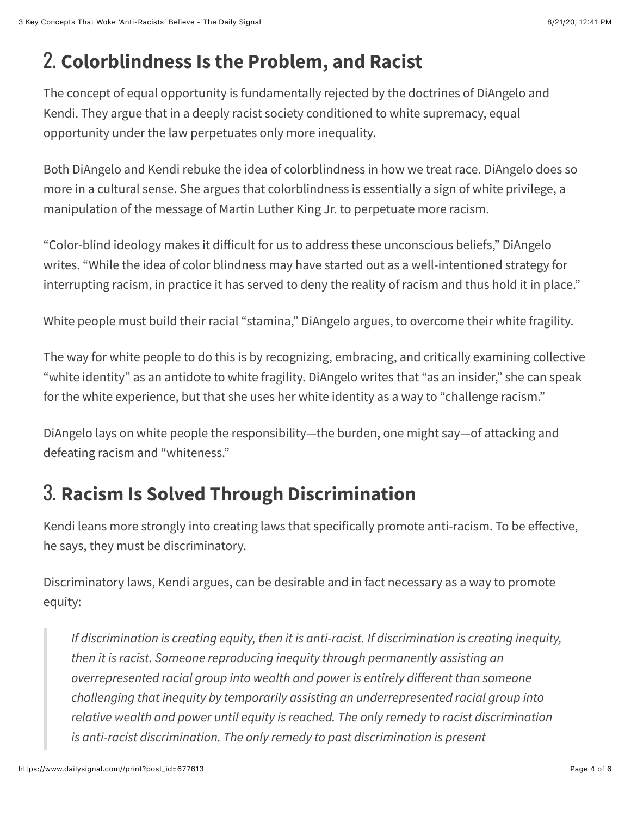### 2. **Colorblindness Is the Problem, and Racist**

The concept of equal opportunity is fundamentally rejected by the doctrines of DiAngelo and Kendi. They argue that in a deeply racist society conditioned to white supremacy, equal opportunity under the law perpetuates only more inequality.

Both DiAngelo and Kendi rebuke the idea of colorblindness in how we treat race. DiAngelo does so more in a cultural sense. She argues that colorblindness is essentially a sign of white privilege, a manipulation of the message of Martin Luther King Jr. to perpetuate more racism.

"Color-blind ideology makes it difficult for us to address these unconscious beliefs," DiAngelo writes. "While the idea of color blindness may have started out as a well-intentioned strategy for interrupting racism, in practice it has served to deny the reality of racism and thus hold it in place."

White people must build their racial "stamina," DiAngelo argues, to overcome their white fragility.

The way for white people to do this is by recognizing, embracing, and critically examining collective "white identity" as an antidote to white fragility. DiAngelo writes that "as an insider," she can speak for the white experience, but that she uses her white identity as a way to "challenge racism."

DiAngelo lays on white people the responsibility—the burden, one might say—of attacking and defeating racism and "whiteness."

### 3. **Racism Is Solved Through Discrimination**

Kendi leans more strongly into creating laws that specifically promote anti-racism. To be effective, he says, they must be discriminatory.

Discriminatory laws, Kendi argues, can be desirable and in fact necessary as a way to promote equity:

*If discrimination is creating equity, then it is anti-racist. If discrimination is creating inequity, then it is racist. Someone reproducing inequity through permanently assisting an overrepresented racial group into wealth and power is entirely di!erent than someone challenging that inequity by temporarily assisting an underrepresented racial group into relative wealth and power until equity is reached. The only remedy to racist discrimination is anti-racist discrimination. The only remedy to past discrimination is present*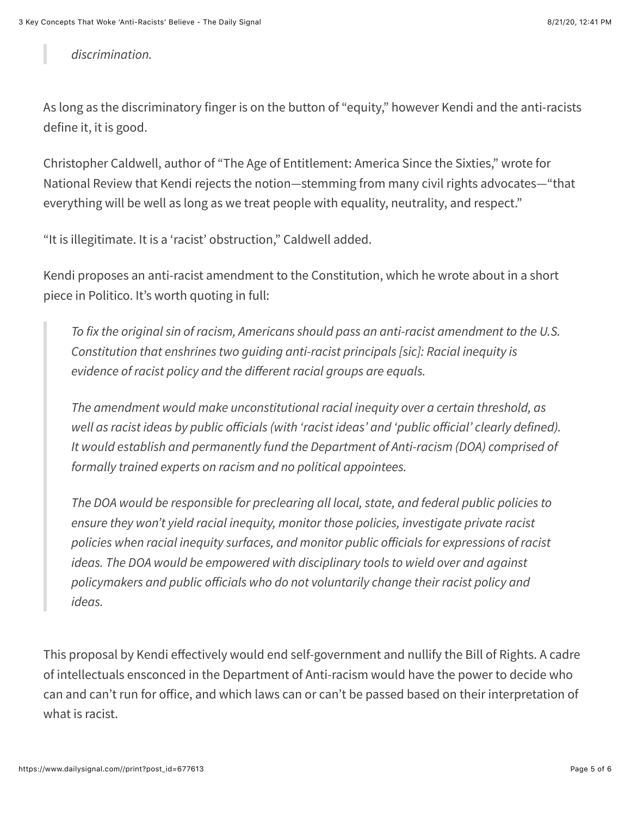*discrimination.*

As long as the discriminatory finger is on the button of "equity," however Kendi and the anti-racists define it, it is good.

Christopher Caldwell, author of "[The Age of Entitlement: America Since the Sixties,](https://www.amazon.com/gp/product/B07THQW1R2/ref=dbs_a_def_rwt_hsch_vapi_tkin_p1_i0)" [wrote](https://www.nationalreview.com/magazine/2020/08/10/ibram-x-kendi-prophet-of-anti-racism/) for National Review that Kendi rejects the notion—stemming from many civil rights advocates—"that everything will be well as long as we treat people with equality, neutrality, and respect."

"It is illegitimate. It is a 'racist' obstruction," Caldwell added.

Kendi proposes an anti-racist amendment to the Constitution, [which he wrote about](https://www.politico.com/interactives/2019/how-to-fix-politics-in-america/inequality/pass-an-anti-racist-constitutional-amendment/) in a short piece in Politico. It's worth quoting in full:

*To fix the original sin of racism, Americans should pass an anti-racist amendment to the U.S. Constitution that enshrines two guiding anti-racist principals [sic]: Racial inequity is evidence of racist policy and the di!erent racial groups are equals.* 

*The amendment would make unconstitutional racial inequity over a certain threshold, as well as racist ideas by public o!icials (with 'racist ideas' and 'public o!icial' clearly defined). It would establish and permanently fund the Department of Anti-racism (DOA) comprised of formally trained experts on racism and no political appointees.* 

*The DOA would be responsible for preclearing all local, state, and federal public policies to ensure they won't yield racial inequity, monitor those policies, investigate private racist policies when racial inequity surfaces, and monitor public o!icials for expressions of racist ideas. The DOA would be empowered with disciplinary tools to wield over and against policymakers and public o!icials who do not voluntarily change their racist policy and ideas.*

This proposal by Kendi effectively would end self-government and nullify the Bill of Rights. A cadre of intellectuals ensconced in the Department of Anti-racism would have the power to decide who can and can't run for office, and which laws can or can't be passed based on their interpretation of what is racist.